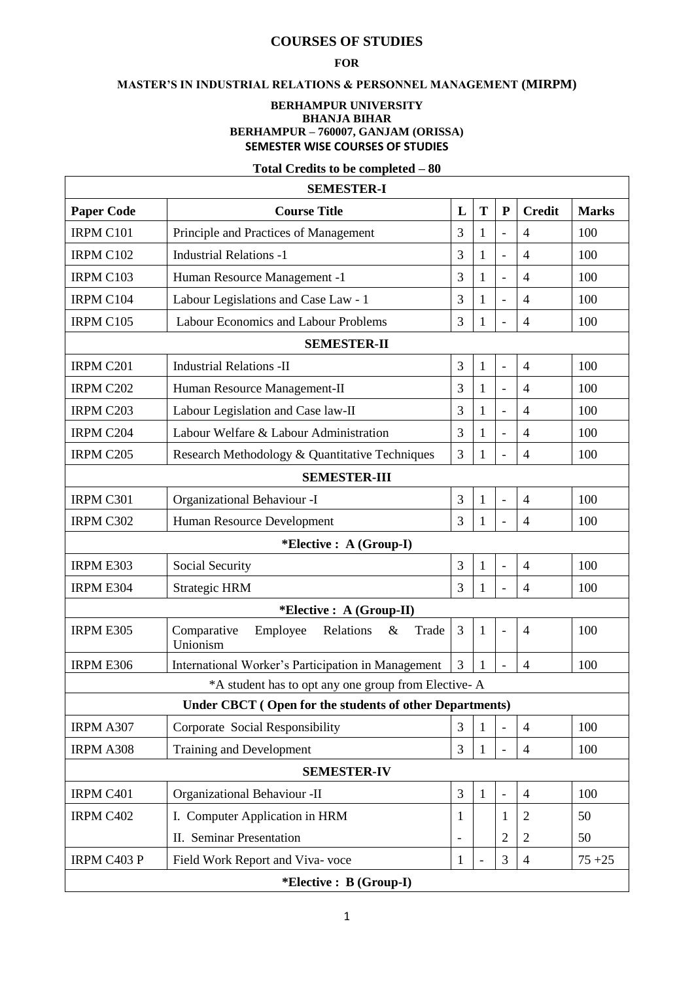# **COURSES OF STUDIES**

### **FOR**

# **MASTER'S IN INDUSTRIAL RELATIONS & PERSONNEL MANAGEMENT (MIRPM)**

#### **BERHAMPUR UNIVERSITY BHANJA BIHAR BERHAMPUR – 760007, GANJAM (ORISSA) SEMESTER WISE COURSES OF STUDIES**

# **Total Credits to be completed – 80**

| <b>SEMESTER-I</b>                                       |                                                                   |                          |              |                |                |              |  |  |  |  |
|---------------------------------------------------------|-------------------------------------------------------------------|--------------------------|--------------|----------------|----------------|--------------|--|--|--|--|
| <b>Paper Code</b>                                       | <b>Course Title</b>                                               | L                        | T            | ${\bf P}$      | <b>Credit</b>  | <b>Marks</b> |  |  |  |  |
| IRPM C101                                               | Principle and Practices of Management                             | 3                        | 1            | $\overline{a}$ | 4              | 100          |  |  |  |  |
| IRPM C102                                               | <b>Industrial Relations -1</b>                                    | 3                        | 1            | $\overline{a}$ | $\overline{4}$ | 100          |  |  |  |  |
| IRPM C103                                               | Human Resource Management -1                                      | 3                        | 1            | $\overline{a}$ | $\overline{4}$ | 100          |  |  |  |  |
| IRPM C104                                               | Labour Legislations and Case Law - 1                              | 3                        | 1            | $\overline{a}$ | $\overline{4}$ | 100          |  |  |  |  |
| IRPM C105                                               | Labour Economics and Labour Problems                              | 3                        | 1            | $\overline{a}$ | $\overline{4}$ | 100          |  |  |  |  |
| <b>SEMESTER-II</b>                                      |                                                                   |                          |              |                |                |              |  |  |  |  |
| IRPM C201                                               | <b>Industrial Relations -II</b>                                   | 3                        | $\mathbf{1}$ | $\overline{a}$ | $\overline{4}$ | 100          |  |  |  |  |
| IRPM C202                                               | Human Resource Management-II                                      | 3                        | 1            | $\overline{a}$ | 4              | 100          |  |  |  |  |
| IRPM C203                                               | Labour Legislation and Case law-II                                | 3                        | 1            | $\overline{a}$ | $\overline{4}$ | 100          |  |  |  |  |
| IRPM C204                                               | Labour Welfare & Labour Administration                            | 3                        | 1            | $\overline{a}$ | $\overline{4}$ | 100          |  |  |  |  |
| IRPM C205                                               | Research Methodology & Quantitative Techniques                    | 3                        | 1            | $\overline{a}$ | $\overline{4}$ | 100          |  |  |  |  |
| <b>SEMESTER-III</b>                                     |                                                                   |                          |              |                |                |              |  |  |  |  |
| IRPM C301                                               | Organizational Behaviour -I                                       | 3                        | $\mathbf{1}$ | $\overline{a}$ | $\overline{4}$ | 100          |  |  |  |  |
| IRPM C302                                               | Human Resource Development                                        | 3                        | 1            |                | $\overline{4}$ | 100          |  |  |  |  |
| *Elective : A (Group-I)                                 |                                                                   |                          |              |                |                |              |  |  |  |  |
| IRPM E303                                               | Social Security                                                   | 3                        | $\mathbf{1}$ | $\overline{a}$ | $\overline{4}$ | 100          |  |  |  |  |
| IRPM E304                                               | <b>Strategic HRM</b>                                              | 3                        | 1            | $\overline{a}$ | $\overline{4}$ | 100          |  |  |  |  |
| *Elective : A (Group-II)                                |                                                                   |                          |              |                |                |              |  |  |  |  |
| <b>IRPM E305</b>                                        | Comparative<br>Employee<br>Relations<br>$\&$<br>Trade<br>Unionism | 3                        | 1            | $\overline{a}$ | 4              | 100          |  |  |  |  |
| IRPM E306                                               | International Worker's Participation in Management                | 3                        | 1            |                | $\overline{4}$ | 100          |  |  |  |  |
| *A student has to opt any one group from Elective-A     |                                                                   |                          |              |                |                |              |  |  |  |  |
| Under CBCT (Open for the students of other Departments) |                                                                   |                          |              |                |                |              |  |  |  |  |
| IRPM A307                                               | Corporate Social Responsibility                                   | 3                        | 1            |                | $\overline{4}$ | 100          |  |  |  |  |
| IRPM A308                                               | <b>Training and Development</b>                                   | 3                        | $\mathbf{1}$ |                | $\overline{4}$ | 100          |  |  |  |  |
| <b>SEMESTER-IV</b>                                      |                                                                   |                          |              |                |                |              |  |  |  |  |
| IRPM C401                                               | Organizational Behaviour -II                                      | 3                        | $\mathbf{1}$ | $\overline{a}$ | $\overline{4}$ | 100          |  |  |  |  |
| IRPM C402                                               | I. Computer Application in HRM                                    | 1                        |              | $\mathbf{1}$   | $\overline{2}$ | 50           |  |  |  |  |
|                                                         | <b>II.</b> Seminar Presentation                                   | $\overline{\phantom{0}}$ |              | $\overline{2}$ | $\overline{2}$ | 50           |  |  |  |  |
| IRPM C403 P                                             | Field Work Report and Viva-voce                                   | 1                        |              | 3              | $\overline{4}$ | $75 + 25$    |  |  |  |  |
| *Elective : B (Group-I)                                 |                                                                   |                          |              |                |                |              |  |  |  |  |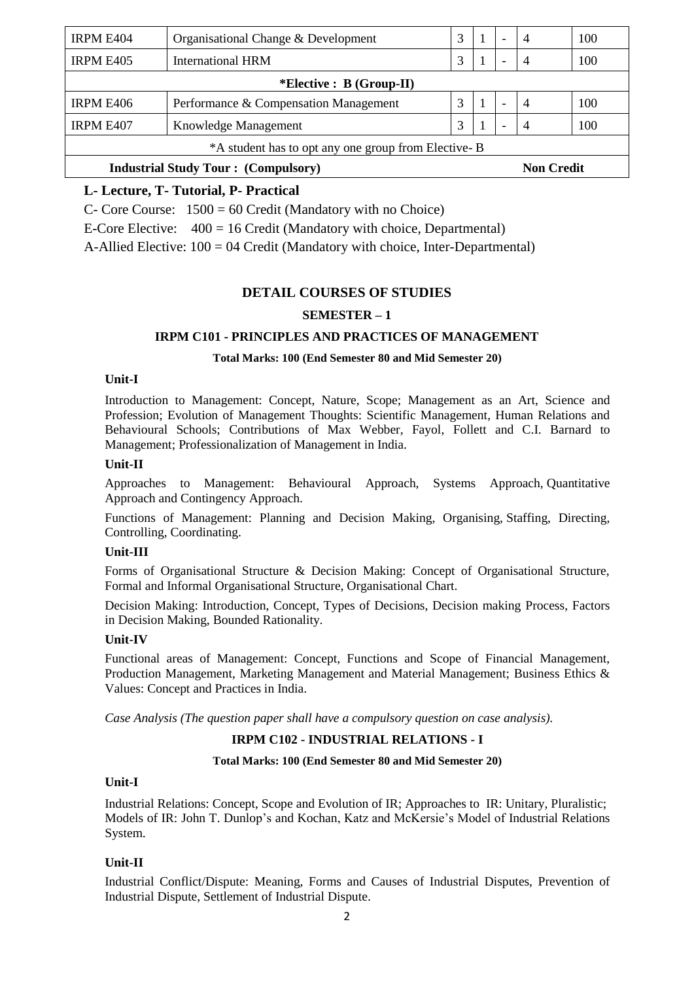| <b>IRPM E404</b>                                    | Organisational Change & Development   | 3 |                   | $\overline{\phantom{a}}$ | $\overline{4}$ | 100 |  |  |  |
|-----------------------------------------------------|---------------------------------------|---|-------------------|--------------------------|----------------|-----|--|--|--|
| <b>IRPM E405</b>                                    | <b>International HRM</b>              | 3 |                   |                          |                | 100 |  |  |  |
| <i>*Elective : B (Group-II)</i>                     |                                       |   |                   |                          |                |     |  |  |  |
| <b>IRPM E406</b>                                    | Performance & Compensation Management | 3 |                   |                          | $\overline{4}$ | 100 |  |  |  |
| <b>IRPM E407</b>                                    | Knowledge Management                  | 3 |                   |                          |                | 100 |  |  |  |
| *A student has to opt any one group from Elective-B |                                       |   |                   |                          |                |     |  |  |  |
| <b>Industrial Study Tour: (Compulsory)</b>          |                                       |   | <b>Non Credit</b> |                          |                |     |  |  |  |

# **L- Lecture, T- Tutorial, P- Practical**

C- Core Course: 1500 = 60 Credit (Mandatory with no Choice)

E-Core Elective: 400 = 16 Credit (Mandatory with choice, Departmental)

A-Allied Elective: 100 = 04 Credit (Mandatory with choice, Inter-Departmental)

# **DETAIL COURSES OF STUDIES**

### **SEMESTER – 1**

#### **IRPM C101 - PRINCIPLES AND PRACTICES OF MANAGEMENT**

#### **Total Marks: 100 (End Semester 80 and Mid Semester 20)**

#### **Unit-I**

Introduction to Management: Concept, Nature, Scope; Management as an Art, Science and Profession; Evolution of Management Thoughts: Scientific Management, Human Relations and Behavioural Schools; Contributions of Max Webber, Fayol, Follett and C.I. Barnard to Management; Professionalization of Management in India.

#### **Unit-II**

Approaches to Management: Behavioural Approach, Systems Approach, Quantitative Approach and Contingency Approach.

Functions of Management: Planning and Decision Making, Organising, Staffing, Directing, Controlling, Coordinating.

#### **Unit-III**

Forms of Organisational Structure & Decision Making: Concept of Organisational Structure, Formal and Informal Organisational Structure, Organisational Chart.

Decision Making: Introduction, Concept, Types of Decisions, Decision making Process, Factors in Decision Making, Bounded Rationality.

### **Unit-IV**

Functional areas of Management: Concept, Functions and Scope of Financial Management, Production Management, Marketing Management and Material Management; Business Ethics & Values: Concept and Practices in India.

*Case Analysis (The question paper shall have a compulsory question on case analysis).*

#### **IRPM C102 - INDUSTRIAL RELATIONS - I**

#### **Total Marks: 100 (End Semester 80 and Mid Semester 20)**

#### **Unit-I**

Industrial Relations: Concept, Scope and Evolution of IR; Approaches to IR: Unitary, Pluralistic; Models of IR: John T. Dunlop's and Kochan, Katz and McKersie's Model of Industrial Relations System.

#### **Unit-II**

Industrial Conflict/Dispute: Meaning, Forms and Causes of Industrial Disputes, Prevention of Industrial Dispute, Settlement of Industrial Dispute.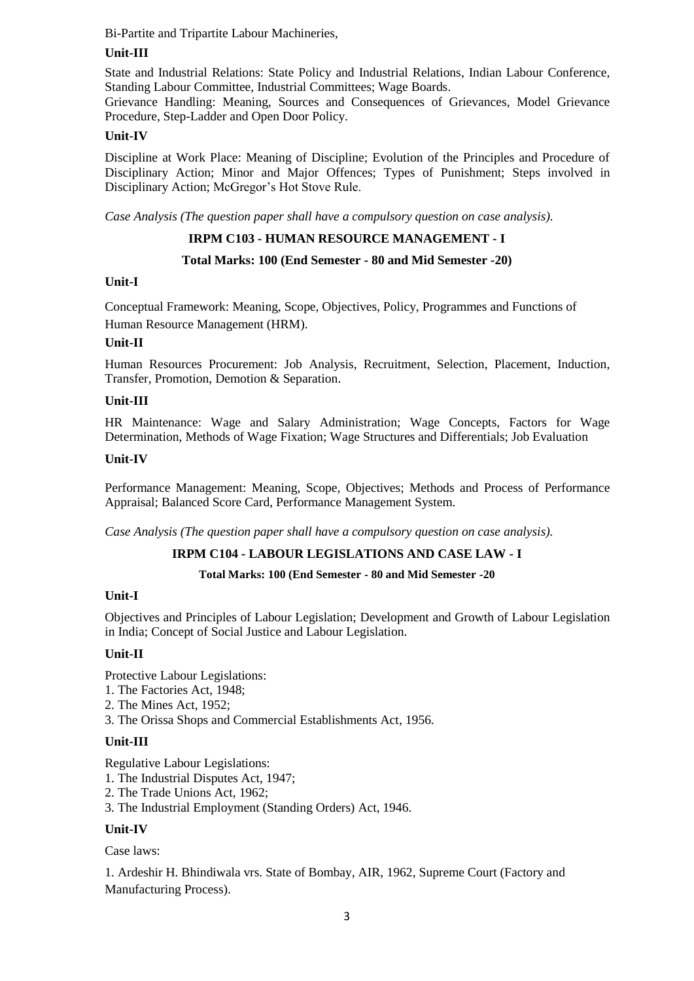Bi-Partite and Tripartite Labour Machineries,

# **Unit-III**

State and Industrial Relations: State Policy and Industrial Relations, Indian Labour Conference, Standing Labour Committee, Industrial Committees; Wage Boards.

Grievance Handling: Meaning, Sources and Consequences of Grievances, Model Grievance Procedure, Step-Ladder and Open Door Policy.

# **Unit-IV**

Discipline at Work Place: Meaning of Discipline; Evolution of the Principles and Procedure of Disciplinary Action; Minor and Major Offences; Types of Punishment; Steps involved in Disciplinary Action; McGregor's Hot Stove Rule.

*Case Analysis (The question paper shall have a compulsory question on case analysis).*

# **IRPM C103 - HUMAN RESOURCE MANAGEMENT - I**

# **Total Marks: 100 (End Semester - 80 and Mid Semester -20)**

# **Unit-I**

Conceptual Framework: Meaning, Scope, Objectives, Policy, Programmes and Functions of Human Resource Management (HRM).

# **Unit-II**

Human Resources Procurement: Job Analysis, Recruitment, Selection, Placement, Induction, Transfer, Promotion, Demotion & Separation.

### **Unit-III**

HR Maintenance: Wage and Salary Administration; Wage Concepts, Factors for Wage Determination, Methods of Wage Fixation; Wage Structures and Differentials; Job Evaluation

### **Unit-IV**

Performance Management: Meaning, Scope, Objectives; Methods and Process of Performance Appraisal; Balanced Score Card, Performance Management System.

*Case Analysis (The question paper shall have a compulsory question on case analysis).*

# **IRPM C104 - LABOUR LEGISLATIONS AND CASE LAW - I**

#### **Total Marks: 100 (End Semester - 80 and Mid Semester -20**

### **Unit-I**

Objectives and Principles of Labour Legislation; Development and Growth of Labour Legislation in India; Concept of Social Justice and Labour Legislation.

# **Unit-II**

Protective Labour Legislations:

- 1. The Factories Act, 1948;
- 2. The Mines Act, 1952;
- 3. The Orissa Shops and Commercial Establishments Act, 1956.

# **Unit-III**

Regulative Labour Legislations:

1. The Industrial Disputes Act, 1947;

- 2. The Trade Unions Act, 1962;
- 3. The Industrial Employment (Standing Orders) Act, 1946.

# **Unit-IV**

Case laws:

1. Ardeshir H. Bhindiwala vrs. State of Bombay, AIR, 1962, Supreme Court (Factory and Manufacturing Process).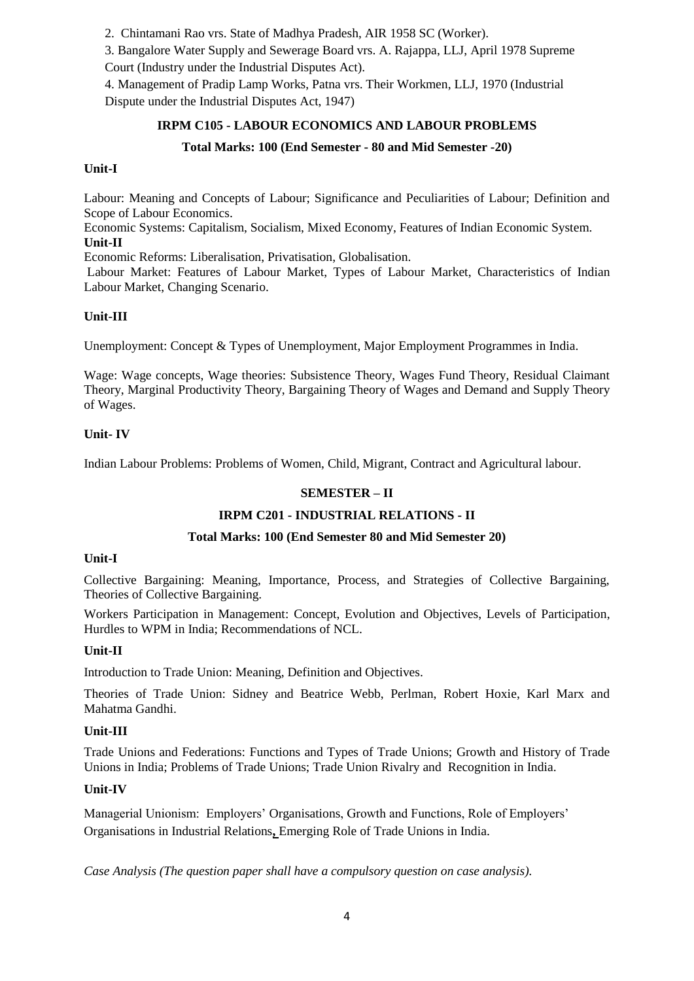2. Chintamani Rao vrs. State of Madhya Pradesh, AIR 1958 SC (Worker).

3. Bangalore Water Supply and Sewerage Board vrs. A. Rajappa, LLJ, April 1978 Supreme Court (Industry under the Industrial Disputes Act).

4. Management of Pradip Lamp Works, Patna vrs. Their Workmen, LLJ, 1970 (Industrial Dispute under the Industrial Disputes Act, 1947)

# **IRPM C105 - LABOUR ECONOMICS AND LABOUR PROBLEMS**

# **Total Marks: 100 (End Semester - 80 and Mid Semester -20)**

# **Unit-I**

Labour: Meaning and Concepts of Labour; Significance and Peculiarities of Labour; Definition and Scope of Labour Economics.

Economic Systems: Capitalism, Socialism, Mixed Economy, Features of Indian Economic System. **Unit-II**

Economic Reforms: Liberalisation, Privatisation, Globalisation.

Labour Market: Features of Labour Market, Types of Labour Market, Characteristics of Indian Labour Market, Changing Scenario.

# **Unit-III**

Unemployment: Concept & Types of Unemployment, Major Employment Programmes in India.

Wage: Wage concepts, Wage theories: Subsistence Theory, Wages Fund Theory, Residual Claimant Theory, Marginal Productivity Theory, Bargaining Theory of Wages and Demand and Supply Theory of Wages.

# **Unit- IV**

Indian Labour Problems: Problems of Women, Child, Migrant, Contract and Agricultural labour.

# **SEMESTER – II**

# **IRPM C201 - INDUSTRIAL RELATIONS - II**

# **Total Marks: 100 (End Semester 80 and Mid Semester 20)**

# **Unit-I**

Collective Bargaining: Meaning, Importance, Process, and Strategies of Collective Bargaining, Theories of Collective Bargaining.

Workers Participation in Management: Concept, Evolution and Objectives, Levels of Participation, Hurdles to WPM in India; Recommendations of NCL.

# **Unit-II**

Introduction to Trade Union: Meaning, Definition and Objectives.

Theories of Trade Union: Sidney and Beatrice Webb, Perlman, Robert Hoxie, Karl Marx and Mahatma Gandhi.

# **Unit-III**

Trade Unions and Federations: Functions and Types of Trade Unions; Growth and History of Trade Unions in India; Problems of Trade Unions; Trade Union Rivalry and Recognition in India.

# **Unit-IV**

Managerial Unionism: Employers' Organisations, Growth and Functions, Role of Employers' Organisations in Industrial Relations**,** Emerging Role of Trade Unions in India.

*Case Analysis (The question paper shall have a compulsory question on case analysis).*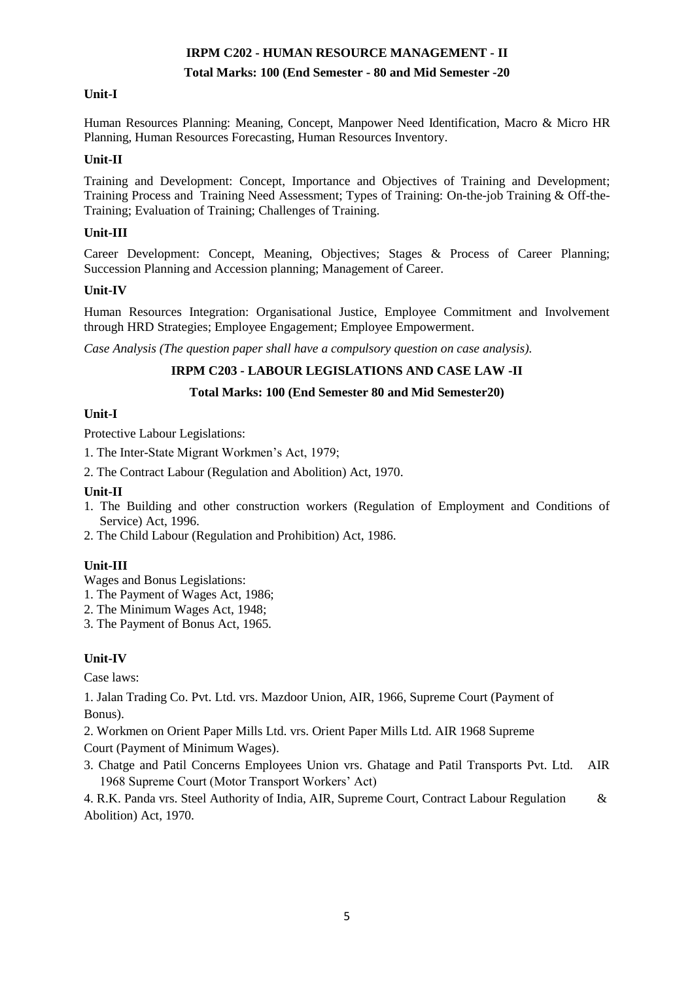# **IRPM C202 - HUMAN RESOURCE MANAGEMENT - II**

# **Total Marks: 100 (End Semester - 80 and Mid Semester -20**

# **Unit-I**

Human Resources Planning: Meaning, Concept, Manpower Need Identification, Macro & Micro HR Planning, Human Resources Forecasting, Human Resources Inventory.

# **Unit-II**

Training and Development: Concept, Importance and Objectives of Training and Development; Training Process and Training Need Assessment; Types of Training: On-the-job Training & Off-the-Training; Evaluation of Training; Challenges of Training.

# **Unit-III**

Career Development: Concept, Meaning, Objectives; Stages & Process of Career Planning; Succession Planning and Accession planning; Management of Career.

# **Unit-IV**

Human Resources Integration: Organisational Justice, Employee Commitment and Involvement through HRD Strategies; Employee Engagement; Employee Empowerment.

*Case Analysis (The question paper shall have a compulsory question on case analysis).*

# **IRPM C203 - LABOUR LEGISLATIONS AND CASE LAW -II**

# **Total Marks: 100 (End Semester 80 and Mid Semester20)**

# **Unit-I**

Protective Labour Legislations:

- 1. The Inter-State Migrant Workmen's Act, 1979;
- 2. The Contract Labour (Regulation and Abolition) Act, 1970.

# **Unit-II**

- 1. The Building and other construction workers (Regulation of Employment and Conditions of Service) Act, 1996.
- 2. The Child Labour (Regulation and Prohibition) Act, 1986.

# **Unit-III**

Wages and Bonus Legislations:

- 1. The Payment of Wages Act, 1986;
- 2. The Minimum Wages Act, 1948;
- 3. The Payment of Bonus Act, 1965.

# **Unit-IV**

Case laws:

1. Jalan Trading Co. Pvt. Ltd. vrs. Mazdoor Union, AIR, 1966, Supreme Court (Payment of Bonus).

2. Workmen on Orient Paper Mills Ltd. vrs. Orient Paper Mills Ltd. AIR 1968 Supreme Court (Payment of Minimum Wages).

3. Chatge and Patil Concerns Employees Union vrs. Ghatage and Patil Transports Pvt. Ltd. AIR 1968 Supreme Court (Motor Transport Workers' Act)

4. R.K. Panda vrs. Steel Authority of India, AIR, Supreme Court, Contract Labour Regulation & Abolition) Act, 1970.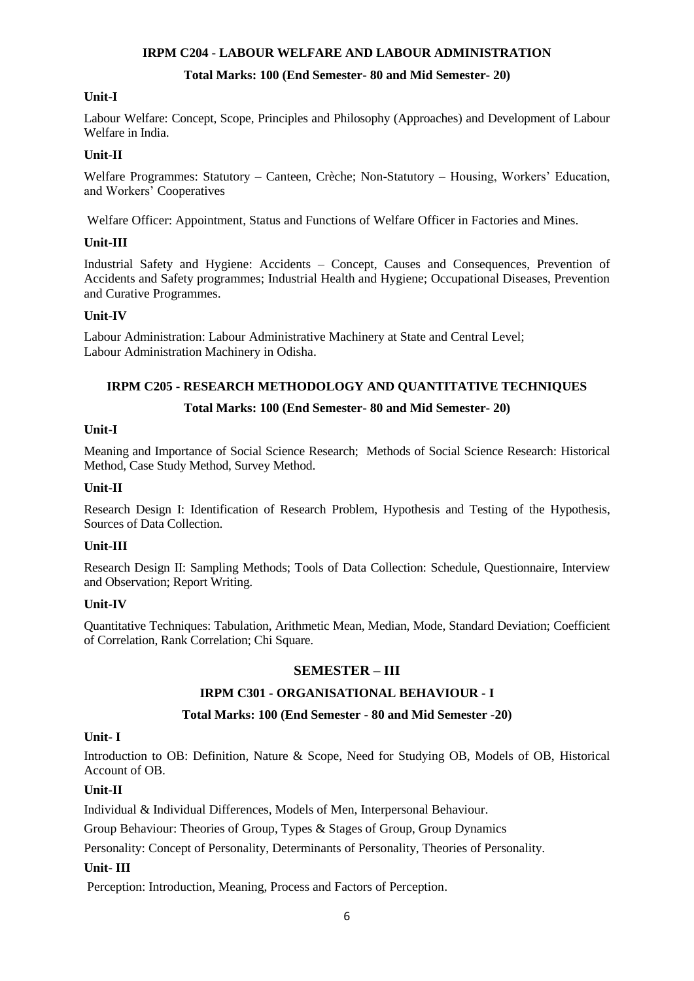# **IRPM C204 - LABOUR WELFARE AND LABOUR ADMINISTRATION**

### **Total Marks: 100 (End Semester- 80 and Mid Semester- 20)**

### **Unit-I**

Labour Welfare: Concept, Scope, Principles and Philosophy (Approaches) and Development of Labour Welfare in India.

### **Unit-II**

Welfare Programmes: Statutory – Canteen, Crèche; Non-Statutory – Housing, Workers' Education, and Workers' Cooperatives

Welfare Officer: Appointment, Status and Functions of Welfare Officer in Factories and Mines.

### **Unit-III**

Industrial Safety and Hygiene: Accidents – Concept, Causes and Consequences, Prevention of Accidents and Safety programmes; Industrial Health and Hygiene; Occupational Diseases, Prevention and Curative Programmes.

### **Unit-IV**

Labour Administration: Labour Administrative Machinery at State and Central Level; Labour Administration Machinery in Odisha.

# **IRPM C205 - RESEARCH METHODOLOGY AND QUANTITATIVE TECHNIQUES**

### **Total Marks: 100 (End Semester- 80 and Mid Semester- 20)**

### **Unit-I**

Meaning and Importance of Social Science Research; Methods of Social Science Research: Historical Method, Case Study Method, Survey Method.

### **Unit-II**

Research Design I: Identification of Research Problem, Hypothesis and Testing of the Hypothesis, Sources of Data Collection.

#### **Unit-III**

Research Design II: Sampling Methods; Tools of Data Collection: Schedule, Questionnaire, Interview and Observation; Report Writing.

#### **Unit-IV**

Quantitative Techniques: Tabulation, Arithmetic Mean, Median, Mode, Standard Deviation; Coefficient of Correlation, Rank Correlation; Chi Square.

# **SEMESTER – III**

# **IRPM C301 - ORGANISATIONAL BEHAVIOUR - I**

# **Total Marks: 100 (End Semester - 80 and Mid Semester -20)**

# **Unit- I**

Introduction to OB: Definition, Nature & Scope, Need for Studying OB, Models of OB, Historical Account of OB.

# **Unit-II**

Individual & Individual Differences, Models of Men, Interpersonal Behaviour.

Group Behaviour: Theories of Group, Types & Stages of Group, Group Dynamics

Personality: Concept of Personality, Determinants of Personality, Theories of Personality.

# **Unit- III**

Perception: Introduction, Meaning, Process and Factors of Perception.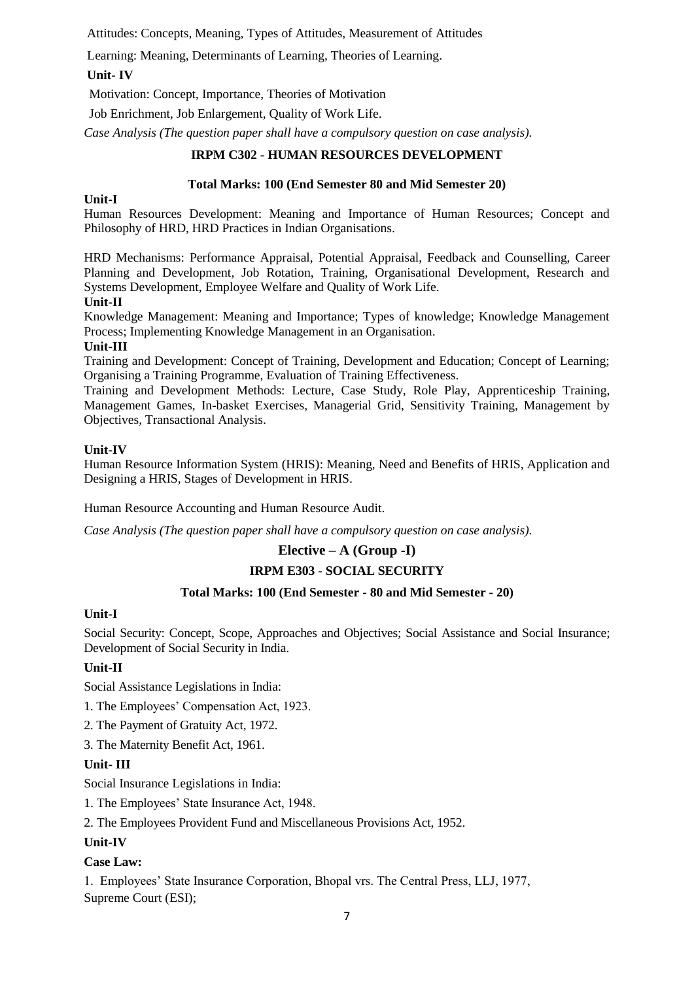Attitudes: Concepts, Meaning, Types of Attitudes, Measurement of Attitudes

Learning: Meaning, Determinants of Learning, Theories of Learning.

# **Unit- IV**

Motivation: Concept, Importance, Theories of Motivation

Job Enrichment, Job Enlargement, Quality of Work Life.

*Case Analysis (The question paper shall have a compulsory question on case analysis).*

### **IRPM C302 - HUMAN RESOURCES DEVELOPMENT**

#### **Total Marks: 100 (End Semester 80 and Mid Semester 20)**

#### **Unit-I**

Human Resources Development: Meaning and Importance of Human Resources; Concept and Philosophy of HRD, HRD Practices in Indian Organisations.

HRD Mechanisms: Performance Appraisal, Potential Appraisal, Feedback and Counselling, Career Planning and Development, Job Rotation, Training, Organisational Development, Research and Systems Development, Employee Welfare and Quality of Work Life.

### **Unit-II**

Knowledge Management: Meaning and Importance; Types of knowledge; Knowledge Management Process; Implementing Knowledge Management in an Organisation.

### **Unit-III**

Training and Development: Concept of Training, Development and Education; Concept of Learning; Organising a Training Programme, Evaluation of Training Effectiveness.

Training and Development Methods: Lecture, Case Study, Role Play, Apprenticeship Training, Management Games, In-basket Exercises, Managerial Grid, Sensitivity Training, Management by Objectives, Transactional Analysis.

### **Unit-IV**

Human Resource Information System (HRIS): Meaning, Need and Benefits of HRIS, Application and Designing a HRIS, Stages of Development in HRIS.

Human Resource Accounting and Human Resource Audit.

*Case Analysis (The question paper shall have a compulsory question on case analysis).*

# **Elective – A (Group -I)**

# **IRPM E303 - SOCIAL SECURITY**

# **Total Marks: 100 (End Semester - 80 and Mid Semester - 20)**

# **Unit-I**

Social Security: Concept, Scope, Approaches and Objectives; Social Assistance and Social Insurance; Development of Social Security in India.

# **Unit-II**

Social Assistance Legislations in India:

- 1. The Employees' Compensation Act, 1923.
- 2. The Payment of Gratuity Act, 1972.
- 3. The Maternity Benefit Act, 1961.

#### **Unit- III**

Social Insurance Legislations in India:

1. The Employees' State Insurance Act, 1948.

2. The Employees Provident Fund and Miscellaneous Provisions Act, 1952.

# **Unit-IV**

# **Case Law:**

1. Employees' State Insurance Corporation, Bhopal vrs. The Central Press, LLJ, 1977, Supreme Court (ESI);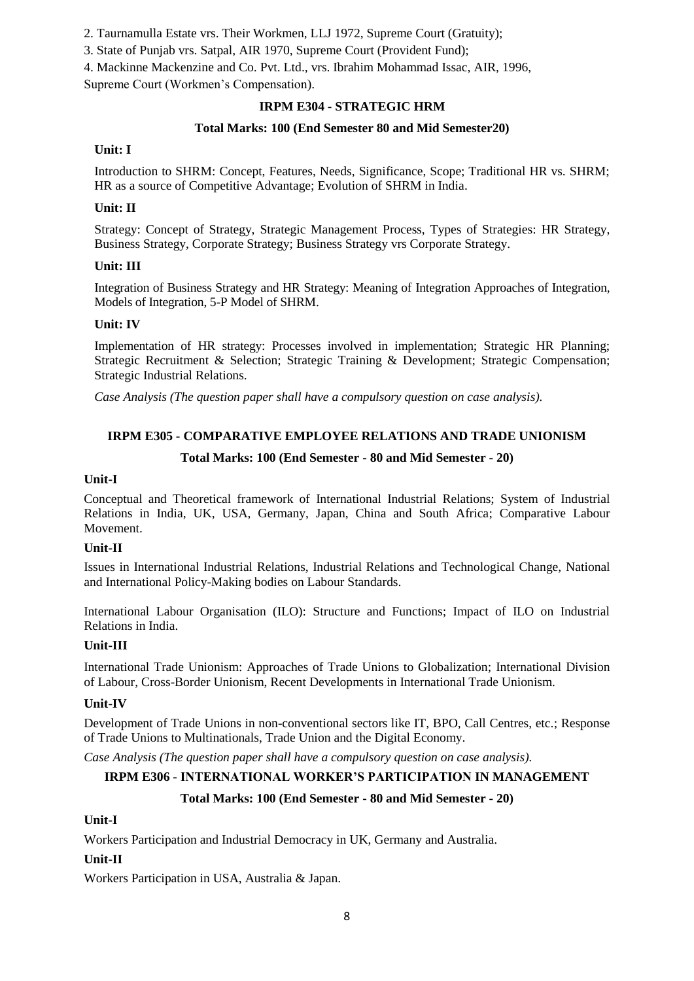2. Taurnamulla Estate vrs. Their Workmen, LLJ 1972, Supreme Court (Gratuity);

3. State of Punjab vrs. Satpal, AIR 1970, Supreme Court (Provident Fund);

4. Mackinne Mackenzine and Co. Pvt. Ltd., vrs. Ibrahim Mohammad Issac, AIR, 1996,

Supreme Court (Workmen's Compensation).

### **IRPM E304 - STRATEGIC HRM**

### **Total Marks: 100 (End Semester 80 and Mid Semester20)**

### **Unit: I**

Introduction to SHRM: Concept, Features, Needs, Significance, Scope; Traditional HR vs. SHRM; HR as a source of Competitive Advantage; Evolution of SHRM in India.

### **Unit: II**

Strategy: Concept of Strategy, Strategic Management Process, Types of Strategies: HR Strategy, Business Strategy, Corporate Strategy; Business Strategy vrs Corporate Strategy.

### **Unit: III**

Integration of Business Strategy and HR Strategy: Meaning of Integration Approaches of Integration, Models of Integration, 5-P Model of SHRM.

### **Unit: IV**

Implementation of HR strategy: Processes involved in implementation; Strategic HR Planning; Strategic Recruitment & Selection; Strategic Training & Development; Strategic Compensation; Strategic Industrial Relations.

*Case Analysis (The question paper shall have a compulsory question on case analysis).*

### **IRPM E305 - COMPARATIVE EMPLOYEE RELATIONS AND TRADE UNIONISM**

### **Total Marks: 100 (End Semester - 80 and Mid Semester - 20)**

#### **Unit-I**

Conceptual and Theoretical framework of International Industrial Relations; System of Industrial Relations in India, UK, USA, Germany, Japan, China and South Africa; Comparative Labour Movement.

#### **Unit-II**

Issues in International Industrial Relations, Industrial Relations and Technological Change, National and International Policy-Making bodies on Labour Standards.

International Labour Organisation (ILO): Structure and Functions; Impact of ILO on Industrial Relations in India.

#### **Unit-III**

International Trade Unionism: Approaches of Trade Unions to Globalization; International Division of Labour, Cross-Border Unionism, Recent Developments in International Trade Unionism.

#### **Unit-IV**

Development of Trade Unions in non-conventional sectors like IT, BPO, Call Centres, etc.; Response of Trade Unions to Multinationals, Trade Union and the Digital Economy.

*Case Analysis (The question paper shall have a compulsory question on case analysis).*

# **IRPM E306 - INTERNATIONAL WORKER'S PARTICIPATION IN MANAGEMENT**

# **Total Marks: 100 (End Semester - 80 and Mid Semester - 20)**

# **Unit-I**

Workers Participation and Industrial Democracy in UK, Germany and Australia.

#### **Unit-II**

Workers Participation in USA, Australia & Japan.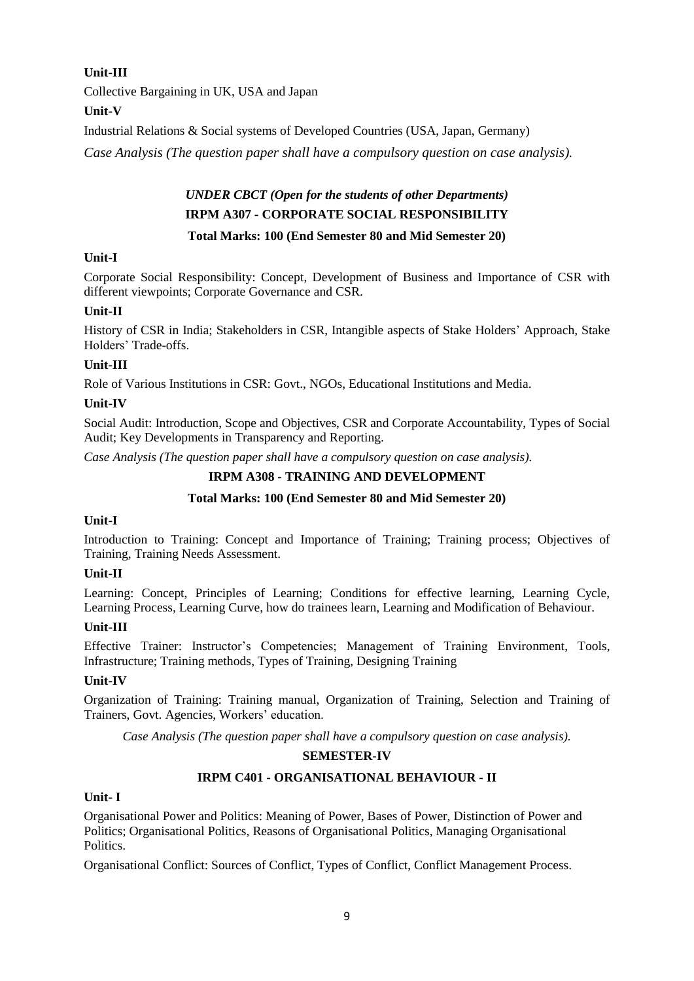# **Unit-III**

Collective Bargaining in UK, USA and Japan

# **Unit-V**

Industrial Relations & Social systems of Developed Countries (USA, Japan, Germany)

*Case Analysis (The question paper shall have a compulsory question on case analysis).*

# *UNDER CBCT (Open for the students of other Departments)* **IRPM A307 - CORPORATE SOCIAL RESPONSIBILITY Total Marks: 100 (End Semester 80 and Mid Semester 20)**

# **Unit-I**

Corporate Social Responsibility: Concept, Development of Business and Importance of CSR with different viewpoints; Corporate Governance and CSR.

# **Unit-II**

History of CSR in India; Stakeholders in CSR, Intangible aspects of Stake Holders' Approach, Stake Holders' Trade-offs.

# **Unit-III**

Role of Various Institutions in CSR: Govt., NGOs, Educational Institutions and Media.

# **Unit-IV**

Social Audit: Introduction, Scope and Objectives, CSR and Corporate Accountability, Types of Social Audit; Key Developments in Transparency and Reporting.

*Case Analysis (The question paper shall have a compulsory question on case analysis).*

# **IRPM A308 - TRAINING AND DEVELOPMENT**

# **Total Marks: 100 (End Semester 80 and Mid Semester 20)**

# **Unit-I**

Introduction to Training: Concept and Importance of Training; Training process; Objectives of Training, Training Needs Assessment.

# **Unit-II**

Learning: Concept, Principles of Learning; Conditions for effective learning, Learning Cycle, Learning Process, Learning Curve, how do trainees learn, Learning and Modification of Behaviour.

# **Unit-III**

Effective Trainer: Instructor's Competencies; Management of Training Environment, Tools, Infrastructure; Training methods, Types of Training, Designing Training

# **Unit-IV**

Organization of Training: Training manual, Organization of Training, Selection and Training of Trainers, Govt. Agencies, Workers' education.

*Case Analysis (The question paper shall have a compulsory question on case analysis).*

# **SEMESTER-IV**

# **IRPM C401 - ORGANISATIONAL BEHAVIOUR - II**

### **Unit- I**

Organisational Power and Politics: Meaning of Power, Bases of Power, Distinction of Power and Politics; Organisational Politics, Reasons of Organisational Politics, Managing Organisational Politics.

Organisational Conflict: Sources of Conflict, Types of Conflict, Conflict Management Process.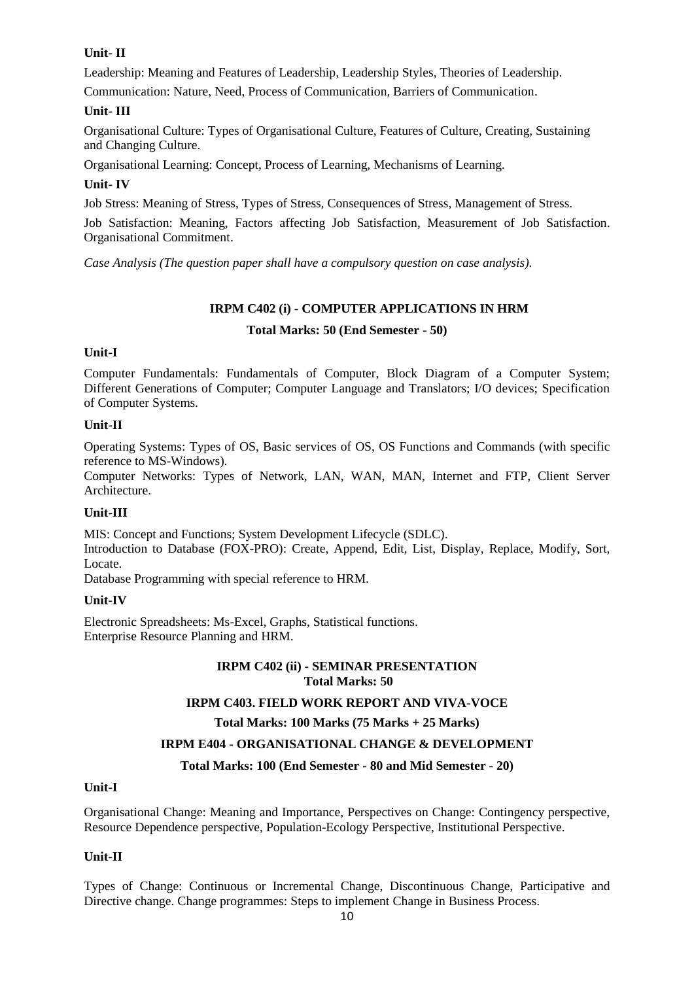# **Unit- II**

Leadership: Meaning and Features of Leadership, Leadership Styles, Theories of Leadership.

Communication: Nature, Need, Process of Communication, Barriers of Communication.

# **Unit- III**

Organisational Culture: Types of Organisational Culture, Features of Culture, Creating, Sustaining and Changing Culture.

Organisational Learning: Concept, Process of Learning, Mechanisms of Learning.

# **Unit- IV**

Job Stress: Meaning of Stress, Types of Stress, Consequences of Stress, Management of Stress.

Job Satisfaction: Meaning, Factors affecting Job Satisfaction, Measurement of Job Satisfaction. Organisational Commitment.

*Case Analysis (The question paper shall have a compulsory question on case analysis).*

# **IRPM C402 (i) - COMPUTER APPLICATIONS IN HRM**

### **Total Marks: 50 (End Semester - 50)**

# **Unit-I**

Computer Fundamentals: Fundamentals of Computer, Block Diagram of a Computer System; Different Generations of Computer; Computer Language and Translators; I/O devices; Specification of Computer Systems.

### **Unit-II**

Operating Systems: Types of OS, Basic services of OS, OS Functions and Commands (with specific reference to MS-Windows).

Computer Networks: Types of Network, LAN, WAN, MAN, Internet and FTP, Client Server Architecture.

# **Unit-III**

MIS: Concept and Functions; System Development Lifecycle (SDLC). Introduction to Database (FOX-PRO): Create, Append, Edit, List, Display, Replace, Modify, Sort, Locate.

Database Programming with special reference to HRM.

# **Unit-IV**

Electronic Spreadsheets: Ms-Excel, Graphs, Statistical functions. Enterprise Resource Planning and HRM.

# **IRPM C402 (ii) - SEMINAR PRESENTATION Total Marks: 50**

# **IRPM C403. FIELD WORK REPORT AND VIVA-VOCE**

#### **Total Marks: 100 Marks (75 Marks + 25 Marks)**

# **IRPM E404 - ORGANISATIONAL CHANGE & DEVELOPMENT**

#### **Total Marks: 100 (End Semester - 80 and Mid Semester - 20)**

#### **Unit-I**

Organisational Change: Meaning and Importance, Perspectives on Change: Contingency perspective, Resource Dependence perspective, Population-Ecology Perspective, Institutional Perspective.

# **Unit-II**

Types of Change: Continuous or Incremental Change, Discontinuous Change, Participative and Directive change. Change programmes: Steps to implement Change in Business Process.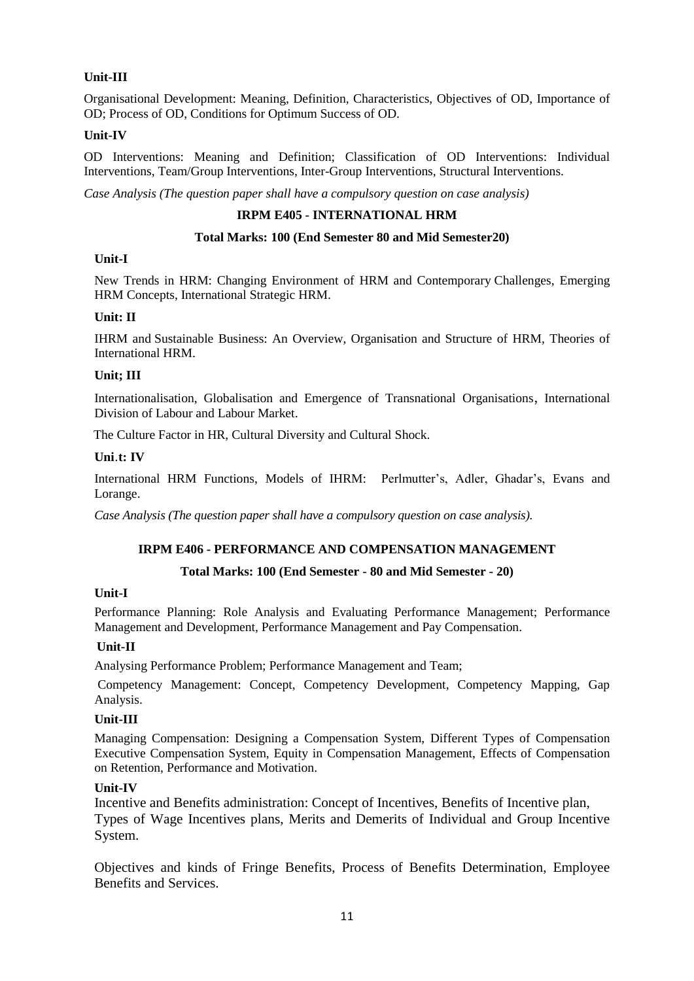# **Unit-III**

Organisational Development: Meaning, Definition, Characteristics, Objectives of OD, Importance of OD; Process of OD, Conditions for Optimum Success of OD.

### **Unit-IV**

OD Interventions: Meaning and Definition; Classification of OD Interventions: Individual Interventions, Team/Group Interventions, Inter-Group Interventions, Structural Interventions.

*Case Analysis (The question paper shall have a compulsory question on case analysis)*

### **IRPM E405 - INTERNATIONAL HRM**

### **Total Marks: 100 (End Semester 80 and Mid Semester20)**

### **Unit-I**

New Trends in HRM: Changing Environment of HRM and Contemporary Challenges, Emerging HRM Concepts, International Strategic HRM.

### **Unit: II**

IHRM and Sustainable Business: An Overview, Organisation and Structure of HRM, Theories of International HRM.

### **Unit; III**

Internationalisation, Globalisation and Emergence of Transnational Organisations, International Division of Labour and Labour Market.

The Culture Factor in HR, Cultural Diversity and Cultural Shock.

### **Uni**.**t: IV**

International HRM Functions, Models of IHRM: Perlmutter's, Adler, Ghadar's, Evans and Lorange.

*Case Analysis (The question paper shall have a compulsory question on case analysis).*

# **IRPM E406 - PERFORMANCE AND COMPENSATION MANAGEMENT**

# **Total Marks: 100 (End Semester - 80 and Mid Semester - 20)**

### **Unit-I**

Performance Planning: Role Analysis and Evaluating Performance Management; Performance Management and Development, Performance Management and Pay Compensation.

# **Unit-II**

Analysing Performance Problem; Performance Management and Team;

Competency Management: Concept, Competency Development, Competency Mapping, Gap Analysis.

#### **Unit-III**

Managing Compensation: Designing a Compensation System, Different Types of Compensation Executive Compensation System, Equity in Compensation Management, Effects of Compensation on Retention, Performance and Motivation.

#### **Unit-IV**

Incentive and Benefits administration: Concept of Incentives, Benefits of Incentive plan, Types of Wage Incentives plans, Merits and Demerits of Individual and Group Incentive System.

Objectives and kinds of Fringe Benefits, Process of Benefits Determination, Employee Benefits and Services.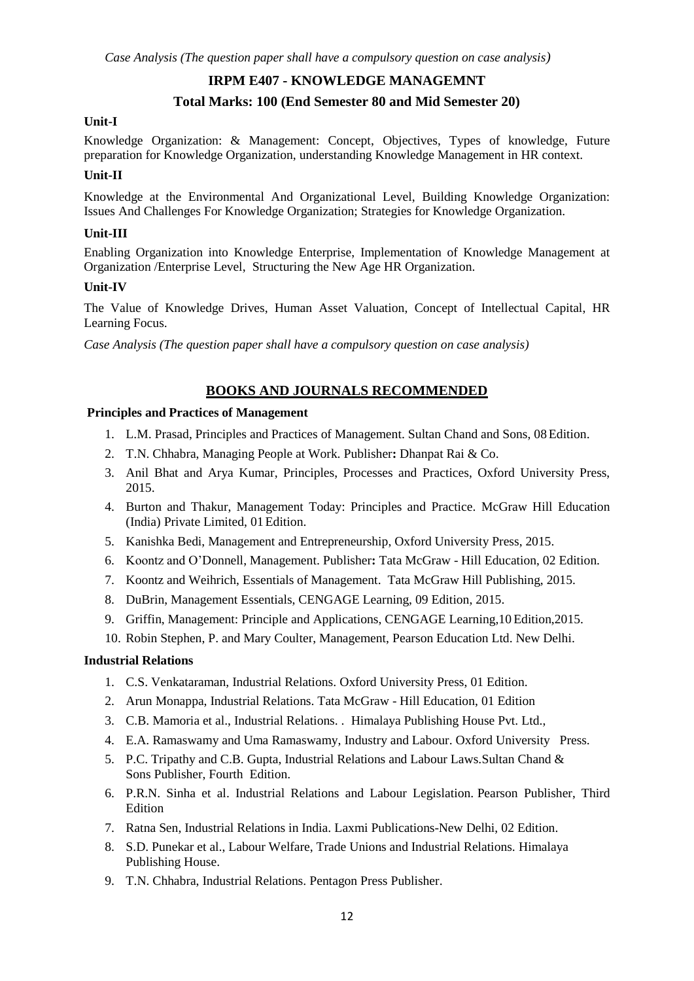# **IRPM E407 - KNOWLEDGE MANAGEMNT**

# **Total Marks: 100 (End Semester 80 and Mid Semester 20)**

### **Unit-I**

Knowledge Organization: & Management: Concept, Objectives, Types of knowledge, Future preparation for Knowledge Organization, understanding Knowledge Management in HR context.

### **Unit-II**

Knowledge at the Environmental And Organizational Level, Building Knowledge Organization: Issues And Challenges For Knowledge Organization; Strategies for Knowledge Organization.

### **Unit-III**

Enabling Organization into Knowledge Enterprise, Implementation of Knowledge Management at Organization /Enterprise Level, Structuring the New Age HR Organization.

### **Unit-IV**

The Value of Knowledge Drives, Human Asset Valuation, Concept of Intellectual Capital, HR Learning Focus.

*Case Analysis (The question paper shall have a compulsory question on case analysis)*

# **BOOKS AND JOURNALS RECOMMENDED**

### **Principles and Practices of Management**

- 1. L.M. Prasad, Principles and Practices of Management. Sultan Chand and Sons, 08Edition.
- 2. T.N. Chhabra, Managing People at Work. Publisher**:** Dhanpat Rai & Co.
- 3. Anil Bhat and Arya Kumar, Principles, Processes and Practices, Oxford University Press, 2015.
- 4. Burton and Thakur, Management Today: Principles and Practice. McGraw Hill Education (India) Private Limited, 01Edition.
- 5. Kanishka Bedi, Management and Entrepreneurship, Oxford University Press, 2015.
- 6. Koontz and O'Donnell, Management. Publisher**:** Tata McGraw Hill Education, 02 Edition.
- 7. Koontz and Weihrich, Essentials of Management. Tata McGraw Hill Publishing, 2015.
- 8. DuBrin, Management Essentials, CENGAGE Learning, 09 Edition, 2015.
- 9. Griffin, Management: Principle and Applications, CENGAGE Learning,10 Edition,2015.
- 10. Robin Stephen, P. and Mary Coulter, Management, Pearson Education Ltd. New Delhi.

#### **Industrial Relations**

- 1. C.S. Venkataraman, Industrial Relations. Oxford University Press, 01 Edition.
- 2. Arun Monappa, Industrial Relations. Tata McGraw Hill Education, 01 Edition
- 3. C.B. Mamoria et al., Industrial Relations. . Himalaya Publishing House Pvt. Ltd.,
- 4. E.A. Ramaswamy and Uma Ramaswamy, Industry and Labour. Oxford University Press.
- 5. P.C. Tripathy and C.B. Gupta, Industrial Relations and Labour Laws.Sultan Chand & Sons Publisher, Fourth Edition.
- 6. P.R.N. Sinha et al. Industrial Relations and Labour Legislation. Pearson Publisher, Third Edition
- 7. Ratna Sen, Industrial Relations in India. Laxmi Publications-New Delhi, 02 Edition.
- 8. S.D. Punekar et al., Labour Welfare, Trade Unions and Industrial Relations. Himalaya Publishing House.
- 9. T.N. Chhabra, Industrial Relations. Pentagon Press Publisher.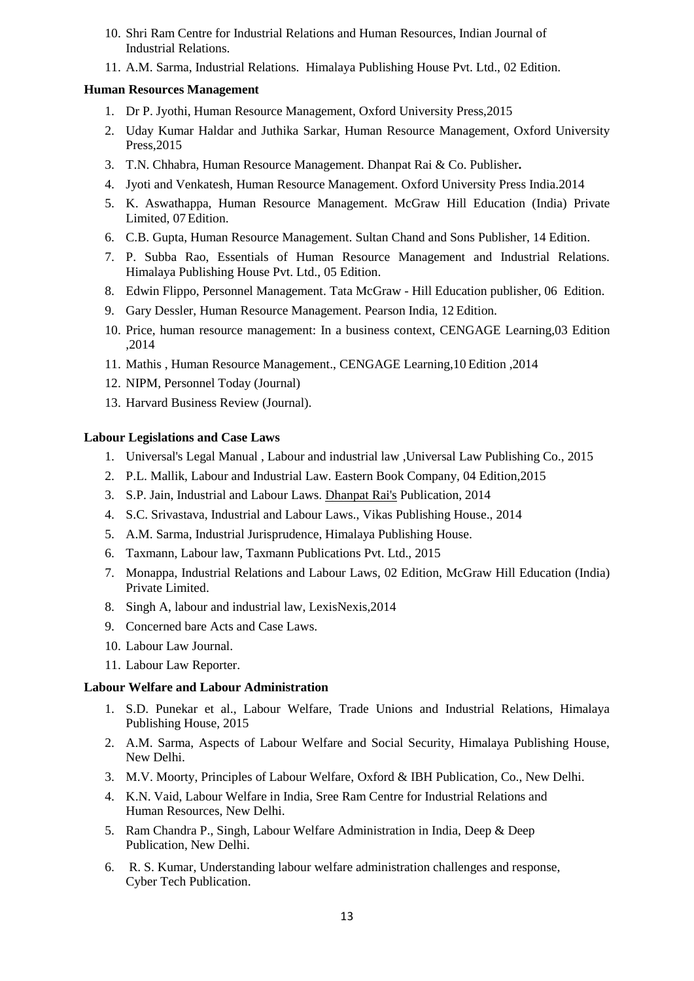- 10. Shri Ram Centre for Industrial Relations and Human Resources, Indian Journal of Industrial Relations.
- 11. A.M. Sarma, Industrial Relations. Himalaya Publishing House Pvt. Ltd., 02 Edition.

### **Human Resources Management**

- 1. Dr P. Jyothi, Human Resource Management, Oxford University Press,2015
- 2. Uday Kumar Haldar and Juthika Sarkar, Human Resource Management, Oxford University Press,2015
- 3. T.N. Chhabra, Human Resource Management. Dhanpat Rai & Co. Publisher**.**
- 4. Jyoti and Venkatesh, Human Resource Management. Oxford University Press India.2014
- 5. K. Aswathappa, Human Resource Management. McGraw Hill Education (India) Private Limited, 07Edition.
- 6. C.B. Gupta, Human Resource Management. Sultan Chand and Sons Publisher, 14 Edition.
- 7. P. Subba Rao, Essentials of Human Resource Management and Industrial Relations. Himalaya Publishing House Pvt. Ltd., 05 Edition.
- 8. Edwin Flippo, Personnel Management. Tata McGraw Hill Education publisher, 06 Edition.
- 9. Gary Dessler, Human Resource Management. Pearson India, 12 Edition.
- 10. Price, human resource management: In a business context, CENGAGE Learning,03 Edition ,2014
- 11. Mathis , Human Resource Management., CENGAGE Learning,10 Edition ,2014
- 12. NIPM, Personnel Today (Journal)
- 13. Harvard Business Review (Journal).

### **Labour Legislations and Case Laws**

- 1. Universal's Legal Manual , Labour and industrial law ,Universal Law Publishing Co., 2015
- 2. P.L. Mallik, Labour and Industrial Law. Eastern Book Company, 04 Edition,2015
- 3. S.P. Jain, Industrial and Labour Laws. [Dhanpat Rai's](https://www.google.co.in/url?sa=t&rct=j&q=&esrc=s&source=web&cd=3&cad=rja&uact=8&ved=0CCkQFjAC&url=http%3A%2F%2Fwww.law-all.com%2Findex.php%3Froute%3Dproduct%2Fproduct%26product_id%3D2122&ei=sQdCVYSDBoHhuQSSroCgAg&usg=AFQjCNE0-X9-iPNZBHKGhwHWEBqeWXxsqw) Publication, 2014
- 4. S.C. Srivastava, Industrial and Labour Laws., Vikas Publishing House., 2014
- 5. A.M. Sarma, Industrial Jurisprudence, Himalaya Publishing House.
- 6. Taxmann, Labour law, Taxmann Publications Pvt. Ltd., 2015
- 7. Monappa, Industrial Relations and Labour Laws, 02 Edition, McGraw Hill Education (India) Private Limited.
- 8. Singh A, labour and industrial law, LexisNexis,2014
- 9. Concerned bare Acts and Case Laws.
- 10. Labour Law Journal.
- 11. Labour Law Reporter.

#### **Labour Welfare and Labour Administration**

- 1. S.D. Punekar et al., Labour Welfare, Trade Unions and Industrial Relations, Himalaya Publishing House, 2015
- 2. A.M. Sarma, Aspects of Labour Welfare and Social Security, Himalaya Publishing House, New Delhi.
- 3. M.V. Moorty, Principles of Labour Welfare, Oxford & IBH Publication, Co., New Delhi.
- 4. K.N. Vaid, Labour Welfare in India, Sree Ram Centre for Industrial Relations and Human Resources, New Delhi.
- 5. Ram Chandra P., Singh, Labour Welfare Administration in India, Deep & Deep Publication, New Delhi.
- 6. R. S. [Kumar,](http://www.flipkart.com/author/r-s-kumar) Understanding labour welfare administration challenges and response, Cyber Tech Publication.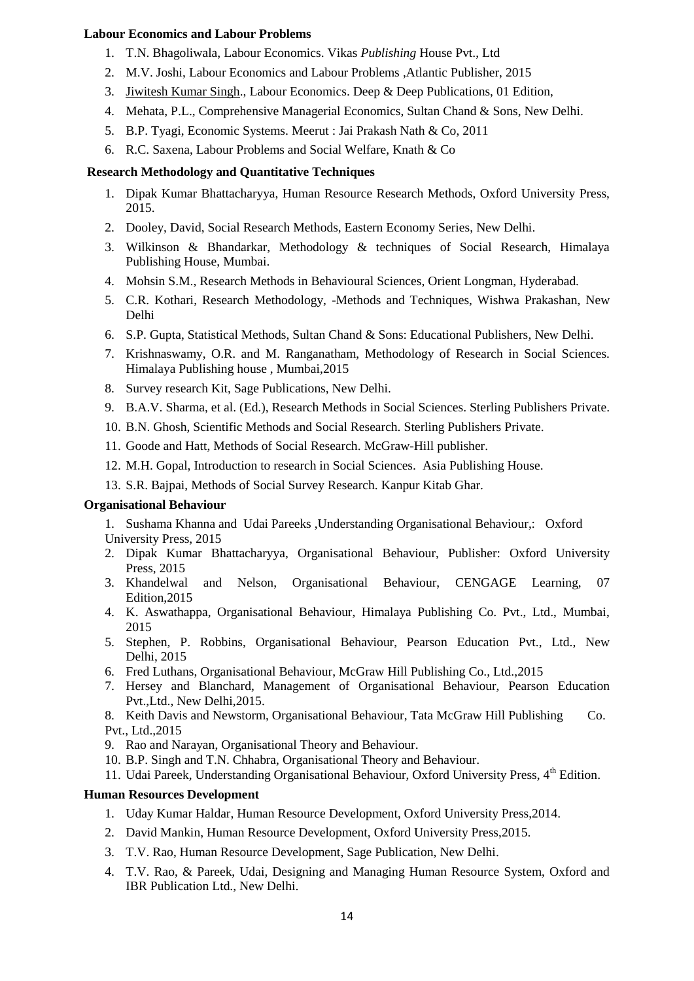### **Labour Economics and Labour Problems**

- 1. T.N. Bhagoliwala, Labour Economics. Vikas *Publishing* House Pvt., Ltd
- 2. M.V. Joshi, Labour Economics and Labour Problems ,Atlantic Publisher, 2015
- 3. [Jiwitesh](http://www.flipkart.com/author/jiwitesh-kumar-singh) Kumar Singh., Labour Economics. Deep & Deep Publications, 01 Edition,
- 4. Mehata, P.L., Comprehensive Managerial Economics, Sultan Chand & Sons, New Delhi.
- 5. B.P. Tyagi, Economic Systems. Meerut : Jai Prakash Nath & Co, 2011
- 6. R.C. Saxena, Labour Problems and Social Welfare, Knath & Co

### **Research Methodology and Quantitative Techniques**

- 1. Dipak Kumar Bhattacharyya, Human Resource Research Methods, Oxford University Press, 2015.
- 2. Dooley, David, Social Research Methods, Eastern Economy Series, New Delhi.
- 3. Wilkinson & Bhandarkar, Methodology & techniques of Social Research, Himalaya Publishing House, Mumbai.
- 4. Mohsin S.M., Research Methods in Behavioural Sciences, Orient Longman, Hyderabad.
- 5. C.R. Kothari, Research Methodology, -Methods and Techniques, Wishwa Prakashan, New Delhi
- 6. S.P. Gupta, Statistical Methods, Sultan Chand & Sons: Educational Publishers, New Delhi.
- 7. Krishnaswamy, O.R. and M. Ranganatham, Methodology of Research in Social Sciences. Himalaya Publishing house , Mumbai,2015
- 8. Survey research Kit, Sage Publications, New Delhi.
- 9. B.A.V. Sharma, et al. (Ed.), Research Methods in Social Sciences. Sterling Publishers Private.
- 10. B.N. Ghosh, Scientific Methods and Social Research. Sterling Publishers Private.
- 11. Goode and Hatt, Methods of Social Research. McGraw-Hill publisher.
- 12. M.H. Gopal, Introduction to research in Social Sciences. Asia Publishing House.
- 13. S.R. Bajpai, Methods of Social Survey Research. Kanpur Kitab Ghar.

### **Organisational Behaviour**

- 1. Sushama Khanna and Udai Pareeks ,Understanding Organisational Behaviour,: Oxford University Press, 2015
- 2. Dipak Kumar Bhattacharyya, Organisational Behaviour, Publisher: Oxford University Press, 2015
- 3. Khandelwal and Nelson, Organisational Behaviour, CENGAGE Learning, 07 Edition,2015
- 4. K. Aswathappa, Organisational Behaviour, Himalaya Publishing Co. Pvt., Ltd., Mumbai, 2015
- 5. Stephen, P. Robbins, Organisational Behaviour, Pearson Education Pvt., Ltd., New Delhi, 2015
- 6. Fred Luthans, Organisational Behaviour, McGraw Hill Publishing Co., Ltd.,2015
- 7. Hersey and Blanchard, Management of Organisational Behaviour, Pearson Education Pvt.,Ltd., New Delhi,2015.
- 8. Keith Davis and Newstorm, Organisational Behaviour, Tata McGraw Hill Publishing Co. Pvt., Ltd.,2015
- 9. Rao and Narayan, Organisational Theory and Behaviour.
- 10. B.P. Singh and T.N. Chhabra, Organisational Theory and Behaviour.
- 11. Udai Pareek, Understanding Organisational Behaviour, Oxford University Press, 4<sup>th</sup> Edition.

#### **Human Resources Development**

- 1. Uday Kumar Haldar, Human Resource Development, Oxford University Press,2014.
- 2. David Mankin, Human Resource Development, Oxford University Press,2015.
- 3. T.V. Rao, Human Resource Development, Sage Publication, New Delhi.
- 4. T.V. Rao, & Pareek, Udai, Designing and Managing Human Resource System, Oxford and IBR Publication Ltd., New Delhi.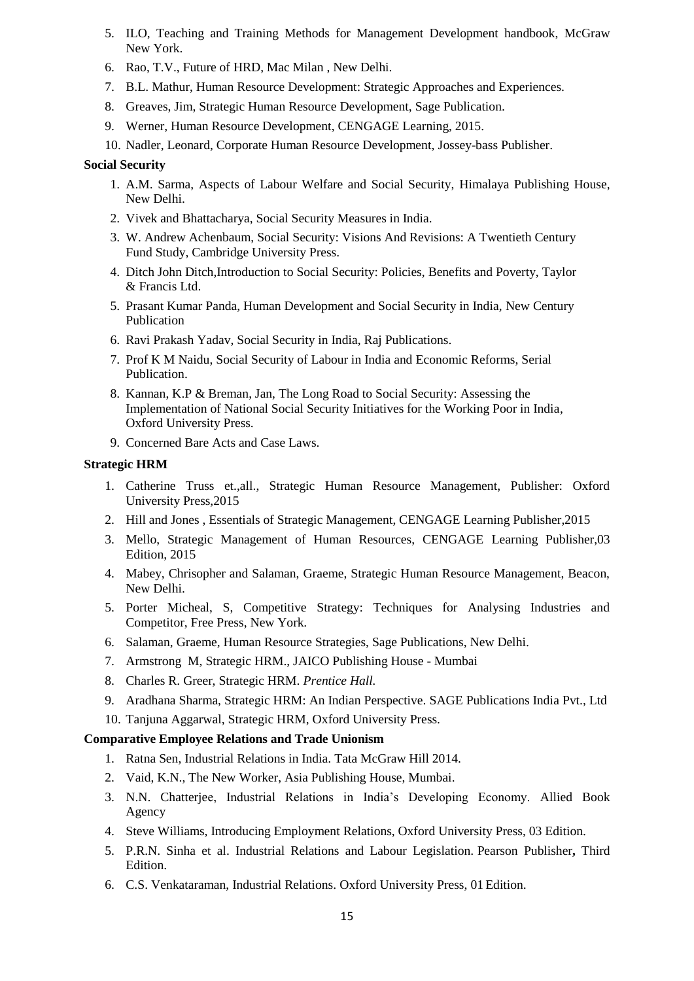- 5. ILO, Teaching and Training Methods for Management Development handbook, McGraw New York.
- 6. Rao, T.V., Future of HRD, Mac Milan , New Delhi.
- 7. B.L. Mathur, Human Resource Development: Strategic Approaches and Experiences.
- 8. Greaves, Jim, Strategic Human Resource Development, Sage Publication.
- 9. Werner, Human Resource Development, CENGAGE Learning, 2015.
- 10. Nadler, Leonard, Corporate Human Resource Development, Jossey-bass Publisher.

### **Social Security**

- 1. A.M. Sarma, Aspects of Labour Welfare and Social Security, Himalaya Publishing House, New Delhi.
- 2. Vivek and Bhattacharya, Social Security Measures in India.
- 3. [W. Andrew Achenbaum,](http://www.flipkart.com/author/w-andrew-achenbaum) Social Security: Visions And Revisions: A Twentieth Century Fund Study, Cambridge University Press.
- 4. [Ditch John Ditch,](http://www.flipkart.com/author/ditch-john-ditch)Introduction to Social Security: Policies, Benefits and Poverty, Taylor & Francis Ltd.
- 5. Prasant Kumar Panda, Human Development and Social Security in India, New Century Publication
- 6. [Ravi Prakash Yadav,](http://www.flipkart.com/author/ravi-prakash-yadav) Social Security in India, Raj Publications.
- 7. [Prof K M Naidu,](http://www.flipkart.com/author/prof-k-m-naidu) Social Security of Labour in India and Economic Reforms, Serial Publication.
- 8. Kannan, K.P & Breman, Jan, The Long Road to Social Security: Assessing the Implementation of National Social Security Initiatives for the Working Poor in India, Oxford University Press.
- 9. Concerned Bare Acts and Case Laws.

### **Strategic HRM**

- 1. Catherine Truss et.,all., Strategic Human Resource Management, Publisher: Oxford University Press,2015
- 2. Hill and Jones , Essentials of Strategic Management, CENGAGE Learning Publisher,2015
- 3. Mello, Strategic Management of Human Resources, CENGAGE Learning Publisher,03 Edition, 2015
- 4. Mabey, Chrisopher and Salaman, Graeme, Strategic Human Resource Management, Beacon, New Delhi.
- 5. Porter Micheal, S, Competitive Strategy: Techniques for Analysing Industries and Competitor, Free Press, New York.
- 6. Salaman, Graeme, Human Resource Strategies, Sage Publications, New Delhi.
- 7. Armstrong M, Strategic HRM., JAICO Publishing House Mumbai
- 8. Charles R. Greer, Strategic HRM. *Prentice Hall.*
- 9. Aradhana Sharma, Strategic HRM: An Indian Perspective. SAGE Publications India Pvt., Ltd
- 10. Tanjuna Aggarwal, Strategic HRM, Oxford University Press.

#### **Comparative Employee Relations and Trade Unionism**

- 1. Ratna Sen, Industrial Relations in India. Tata McGraw Hill 2014.
- 2. Vaid, K.N., The New Worker, Asia Publishing House, Mumbai.
- 3. N.N. Chatterjee, Industrial Relations in India's Developing Economy. Allied Book Agency
- 4. Steve Williams, Introducing Employment Relations, Oxford University Press, 03 Edition.
- 5. P.R.N. Sinha et al. Industrial Relations and Labour Legislation. Pearson Publisher**,** Third Edition.
- 6. C.S. Venkataraman, Industrial Relations. Oxford University Press, 01 Edition.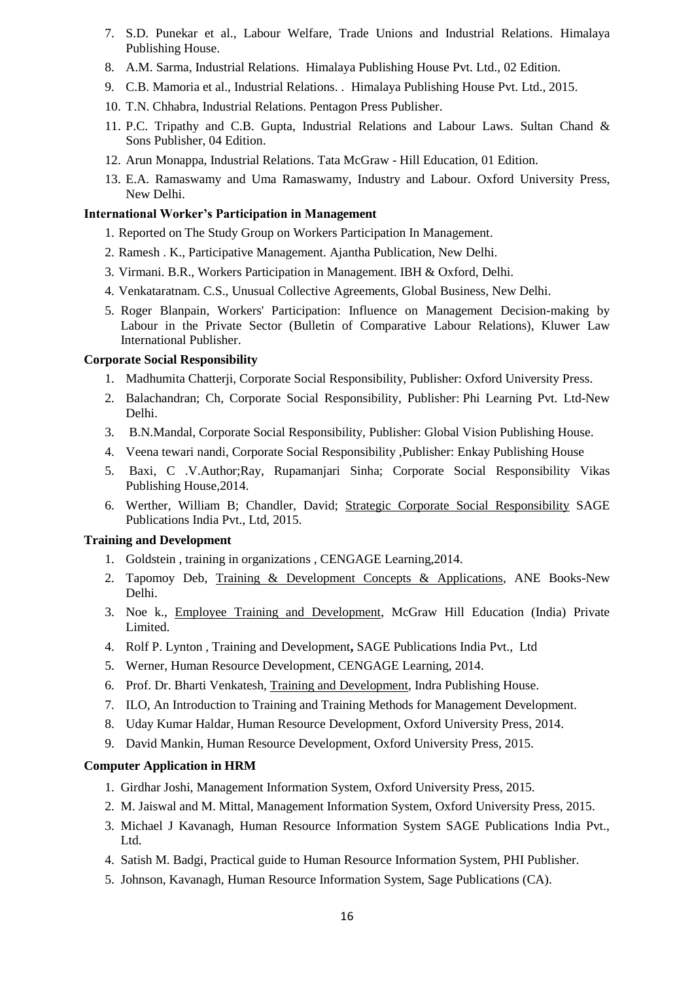- 7. S.D. Punekar et al., Labour Welfare, Trade Unions and Industrial Relations. Himalaya Publishing House.
- 8. A.M. Sarma, Industrial Relations. Himalaya Publishing House Pvt. Ltd., 02 Edition.
- 9. C.B. Mamoria et al., Industrial Relations. . Himalaya Publishing House Pvt. Ltd., 2015.
- 10. T.N. Chhabra, Industrial Relations. Pentagon Press Publisher.
- 11. P.C. Tripathy and C.B. Gupta, Industrial Relations and Labour Laws. Sultan Chand & Sons Publisher, 04 Edition.
- 12. Arun Monappa, Industrial Relations. Tata McGraw Hill Education, 01 Edition.
- 13. E.A. Ramaswamy and Uma Ramaswamy, Industry and Labour. Oxford University Press, New Delhi.

### **International Worker's Participation in Management**

- 1. Reported on The Study Group on Workers Participation In Management.
- 2. Ramesh . K., Participative Management. Ajantha Publication, New Delhi.
- 3. Virmani. B.R., Workers Participation in Management. IBH & Oxford, Delhi.
- 4. Venkataratnam. C.S., Unusual Collective Agreements, Global Business, New Delhi.
- 5. [Roger Blanpain,](http://www.flipkart.com/author/roger-blanpain) Workers' Participation: Influence on Management Decision-making by Labour in the Private Sector (Bulletin of Comparative Labour Relations), Kluwer Law International Publisher.

### **Corporate Social Responsibility**

- 1. Madhumita Chatterji, Corporate Social Responsibility, Publisher: Oxford University Press.
- 2. Balachandran; Ch, Corporate Social Responsibility, Publisher: Phi Learning Pvt. Ltd-New Delhi.
- 3. B.N.Mandal, Corporate Social Responsibility, Publisher: Global Vision Publishing House.
- 4. Veena tewari nandi, Corporate Social Responsibility ,Publisher: Enkay Publishing House
- 5. Baxi, C .V.Author;Ray, Rupamanjari Sinha; Corporate Social Responsibility Vikas Publishing House,2014.
- 6. Werther, William B; Chandler, David; Strategic Corporate Social [Responsibility](http://www.flipkart.com/strategic-corporate-social-responsibility-stakeholders-global-environment-english-2nd/p/itmeybgwckgfzjee?pid=9788132105725&ref=L%3A1196917740701894510&srno=p_6&query=corporate+social+responsibility&otracker=from-search) SAGE Publications India Pvt., Ltd, 2015.

#### **Training and Development**

- 1. Goldstein , training in organizations , CENGAGE Learning,2014.
- 2. Tapomoy Deb, Training & [Development](http://www.flipkart.com/training-development-concepts-applications-pb-english-01/p/itmdwhkfzzszyydh?pid=9788180520983&ref=L%3A8155085242005015977&srno=p_1&query=training+and+development&otracker=from-search) Concepts & Applications, ANE Books-New Delhi.
- 3. Noe k., Employee Training and [Development,](http://www.flipkart.com/employee-training-development-english-5th/p/itme5wzyf7bk8uxe?pid=9781259004728&ref=L%3A8155085242005015977&srno=p_2&query=training+and+development&otracker=from-search) McGraw Hill Education (India) Private Limited.
- 4. Rolf P. Lynton , Training and Development**,** SAGE Publications India Pvt., Ltd
- 5. Werner, Human Resource Development, CENGAGE Learning, 2014.
- 6. Prof. Dr. Bharti Venkatesh, Training and [Development,](http://www.flipkart.com/employee-training-development-english-5th/p/itme5wzyf7bk8uxe?pid=9781259004728&ref=L%3A8155085242005015977&srno=p_2&query=training+and+development&otracker=from-search) Indra Publishing House.
- 7. ILO, An Introduction to Training and Training Methods for Management Development.
- 8. Uday Kumar Haldar, Human Resource Development, Oxford University Press, 2014.
- 9. David Mankin, Human Resource Development, Oxford University Press, 2015.

#### **Computer Application in HRM**

- 1. Girdhar Joshi, Management Information System, Oxford University Press, 2015.
- 2. M. Jaiswal and M. Mittal, Management Information System, Oxford University Press, 2015.
- 3. Michael J Kavanagh, Human Resource Information System SAGE Publications India Pvt., Ltd.
- 4. Satish M. Badgi, Practical guide to Human Resource Information System, PHI Publisher.
- 5. Johnson, Kavanagh, Human Resource Information System, Sage Publications (CA).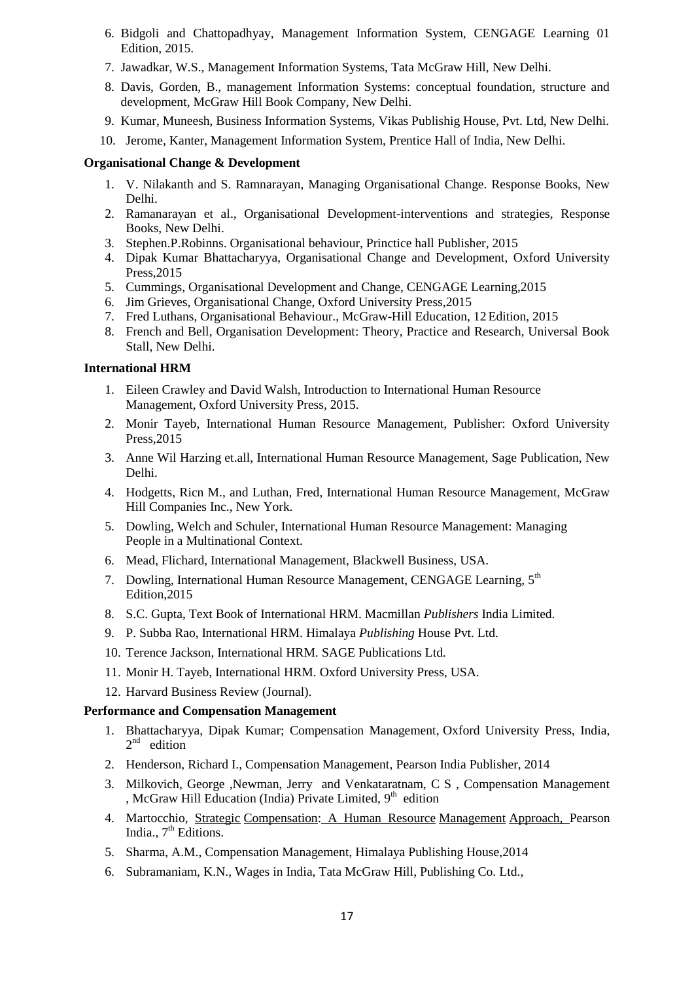- 6. Bidgoli and Chattopadhyay, Management Information System, CENGAGE Learning 01 Edition, 2015.
- 7. Jawadkar, W.S., Management Information Systems, Tata McGraw Hill, New Delhi.
- 8. Davis, Gorden, B., management Information Systems: conceptual foundation, structure and development, McGraw Hill Book Company, New Delhi.
- 9. Kumar, Muneesh, Business Information Systems, Vikas Publishig House, Pvt. Ltd, New Delhi.
- 10. Jerome, Kanter, Management Information System, Prentice Hall of India, New Delhi.

### **Organisational Change & Development**

- 1. V. Nilakanth and S. Ramnarayan, Managing Organisational Change. Response Books, New Delhi.
- 2. Ramanarayan et al., Organisational Development-interventions and strategies, Response Books, New Delhi.
- 3. Stephen.P.Robinns. Organisational behaviour, Princtice hall Publisher, 2015
- 4. Dipak Kumar Bhattacharyya, Organisational Change and Development, Oxford University Press,2015
- 5. Cummings, Organisational Development and Change, CENGAGE Learning,2015
- 6. Jim Grieves, Organisational Change, Oxford University Press,2015
- 7. Fred Luthans, Organisational Behaviour., McGraw-Hill Education, 12 Edition, 2015
- 8. French and Bell, Organisation Development: Theory, Practice and Research, Universal Book Stall, New Delhi.

#### **International HRM**

- 1. Eileen Crawley and David Walsh, Introduction to International Human Resource Management, Oxford University Press, 2015.
- 2. Monir Tayeb, International Human Resource Management, Publisher: Oxford University Press,2015
- 3. Anne Wil Harzing et.all, International Human Resource Management, Sage Publication, New Delhi.
- 4. Hodgetts, Ricn M., and Luthan, Fred, International Human Resource Management, McGraw Hill Companies Inc., New York.
- 5. Dowling, Welch and Schuler, International Human Resource Management: Managing People in a Multinational Context.
- 6. Mead, Flichard, International Management, Blackwell Business, USA.
- 7. Dowling, International Human Resource Management, CENGAGE Learning, 5<sup>th</sup> Edition,2015
- 8. S.C. Gupta, Text Book of International HRM. Macmillan *Publishers* India Limited.
- 9. P. Subba Rao, International HRM. Himalaya *Publishing* House Pvt. Ltd.
- 10. Terence Jackson, International HRM. SAGE Publications Ltd.
- 11. Monir H. Tayeb, International HRM. Oxford University Press, USA.

12. Harvard Business Review (Journal).

#### **Performance and Compensation Management**

- 1. Bhattacharyya, Dipak Kumar; Compensation Management, Oxford University Press, India,  $2<sup>nd</sup>$  edition
- 2. Henderson, Richard I., Compensation Management, Pearson India Publisher, 2014
- 3. Milkovich, George ,Newman, Jerry and Venkataratnam, C S , Compensation Management , McGraw Hill Education (India) Private Limited, 9<sup>th</sup> edition
- 4. Martocchio, Strategic [Compensation:](http://www.flipkart.com/strategic-compensation-human-resource-management-approach-english-7th/p/itmdxpffyb8bfyfn?pid=9789332536777&otracker=from-search&srno=t_10&query=compensation+management&ref=8ee1e2c6-7861-47ac-b5d8-1ba0f3f20c3a) A Human Resource Management Approach, Pearson India.,  $7<sup>th</sup>$  Editions.
- 5. Sharma, A.M., Compensation Management, Himalaya Publishing House,2014
- 6. Subramaniam, K.N., Wages in India, Tata McGraw Hill, Publishing Co. Ltd.,